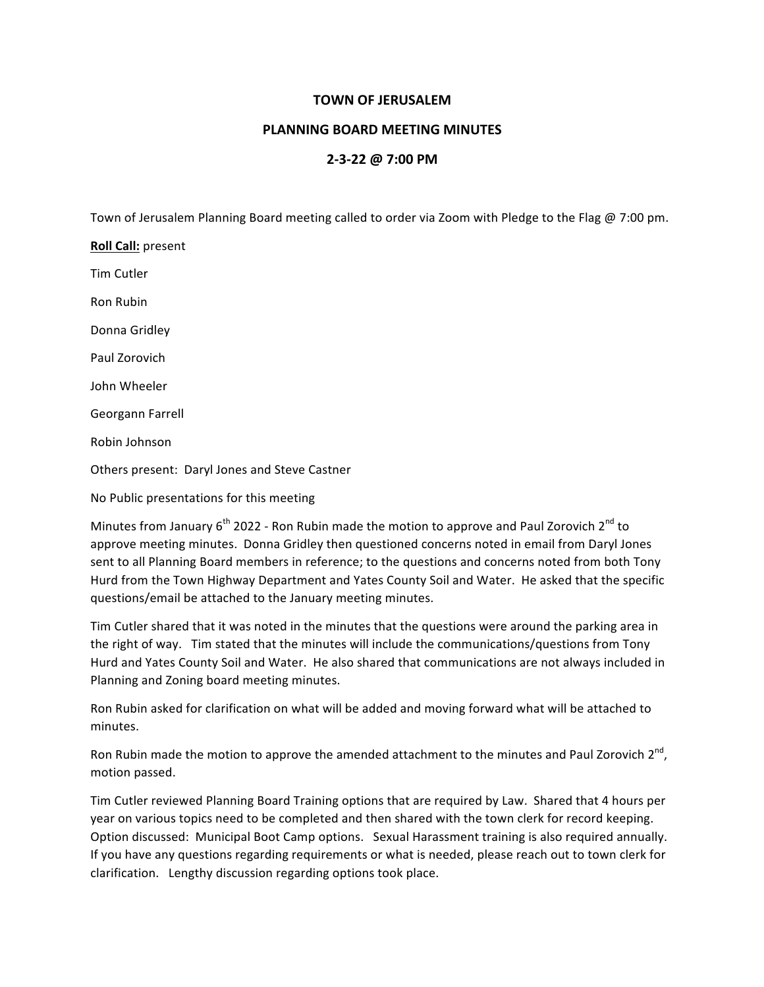## **TOWN OF JERUSALEM**

## **PLANNING BOARD MEETING MINUTES**

## **2-3-22 @ 7:00 PM**

Town of Jerusalem Planning Board meeting called to order via Zoom with Pledge to the Flag @ 7:00 pm.

## **Roll Call: present**

Tim Cutler

Ron Rubin

Donna Gridley

Paul Zorovich

John Wheeler

Georgann Farrell

Robin Johnson

Others present: Daryl Jones and Steve Castner

No Public presentations for this meeting

Minutes from January  $6<sup>th</sup>$  2022 - Ron Rubin made the motion to approve and Paul Zorovich 2<sup>nd</sup> to approve meeting minutes. Donna Gridley then questioned concerns noted in email from Daryl Jones sent to all Planning Board members in reference; to the questions and concerns noted from both Tony Hurd from the Town Highway Department and Yates County Soil and Water. He asked that the specific questions/email be attached to the January meeting minutes.

Tim Cutler shared that it was noted in the minutes that the questions were around the parking area in the right of way. Tim stated that the minutes will include the communications/questions from Tony Hurd and Yates County Soil and Water. He also shared that communications are not always included in Planning and Zoning board meeting minutes.

Ron Rubin asked for clarification on what will be added and moving forward what will be attached to minutes.

Ron Rubin made the motion to approve the amended attachment to the minutes and Paul Zorovich  $2^{nd}$ , motion passed.

Tim Cutler reviewed Planning Board Training options that are required by Law. Shared that 4 hours per year on various topics need to be completed and then shared with the town clerk for record keeping. Option discussed: Municipal Boot Camp options. Sexual Harassment training is also required annually. If you have any questions regarding requirements or what is needed, please reach out to town clerk for clarification. Lengthy discussion regarding options took place.